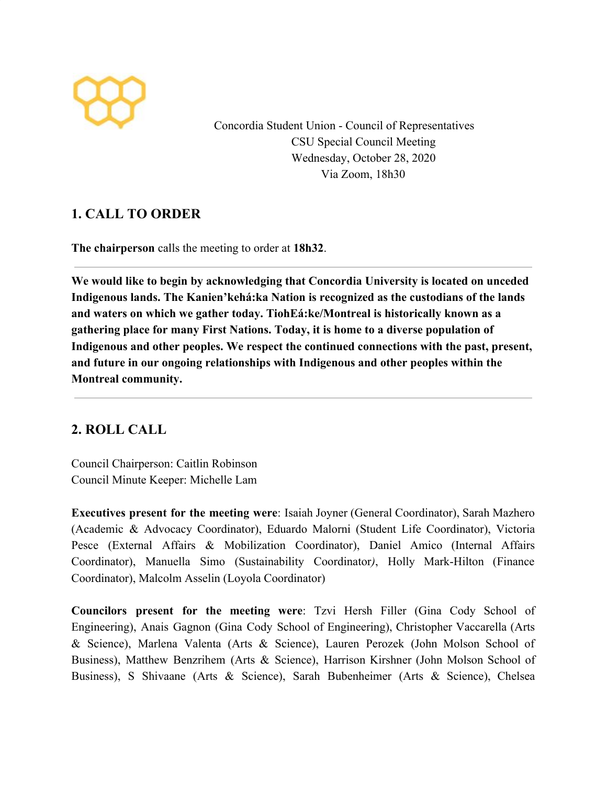

Concordia Student Union - Council of Representatives CSU Special Council Meeting Wednesday, October 28, 2020 Via Zoom, 18h30

# **1. CALL TO ORDER**

**The chairperson** calls the meeting to order at **18h32**.

**We would like to begin by acknowledging that Concordia University is located on unceded Indigenous lands. The Kanien'kehá:ka Nation is recognized as the custodians of the lands and waters on which we gather today. TiohEá:ke/Montreal is historically known as a gathering place for many First Nations. Today, it is home to a diverse population of Indigenous and other peoples. We respect the continued connections with the past, present, and future in our ongoing relationships with Indigenous and other peoples within the Montreal community.**

# **2. ROLL CALL**

Council Chairperson: Caitlin Robinson Council Minute Keeper: Michelle Lam

**Executives present for the meeting were**: Isaiah Joyner (General Coordinator), Sarah Mazhero (Academic & Advocacy Coordinator), Eduardo Malorni (Student Life Coordinator), Victoria Pesce (External Affairs & Mobilization Coordinator), Daniel Amico (Internal Affairs Coordinator), Manuella Simo (Sustainability Coordinator*)*, Holly Mark-Hilton (Finance Coordinator), Malcolm Asselin (Loyola Coordinator)

**Councilors present for the meeting were**: Tzvi Hersh Filler (Gina Cody School of Engineering), Anais Gagnon (Gina Cody School of Engineering), Christopher Vaccarella (Arts & Science), Marlena Valenta (Arts & Science), Lauren Perozek (John Molson School of Business), Matthew Benzrihem (Arts & Science), Harrison Kirshner (John Molson School of Business), S Shivaane (Arts & Science), Sarah Bubenheimer (Arts & Science), Chelsea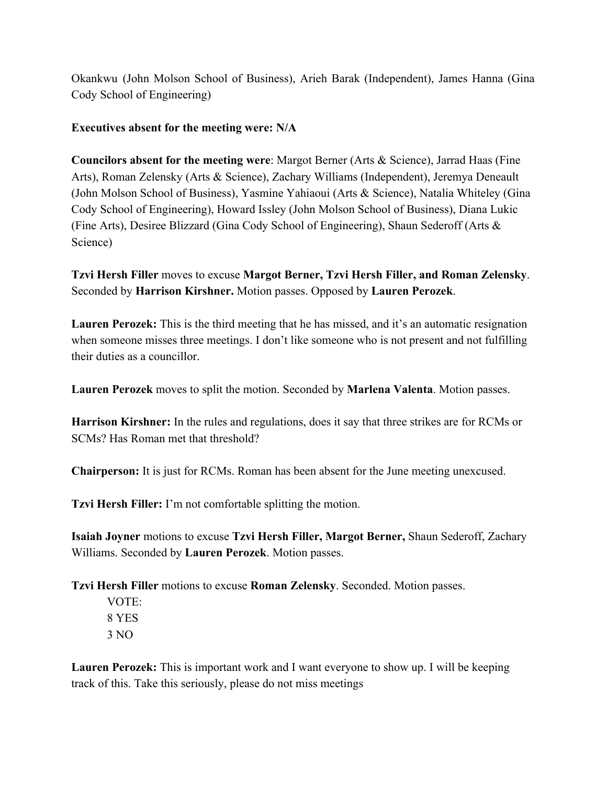Okankwu (John Molson School of Business), Arieh Barak (Independent), James Hanna (Gina Cody School of Engineering)

### **Executives absent for the meeting were: N/A**

**Councilors absent for the meeting were**: Margot Berner (Arts & Science), Jarrad Haas (Fine Arts), Roman Zelensky (Arts & Science), Zachary Williams (Independent), Jeremya Deneault (John Molson School of Business), Yasmine Yahiaoui (Arts & Science), Natalia Whiteley (Gina Cody School of Engineering), Howard Issley (John Molson School of Business), Diana Lukic (Fine Arts), Desiree Blizzard (Gina Cody School of Engineering), Shaun Sederoff (Arts & Science)

**Tzvi Hersh Filler** moves to excuse **Margot Berner, Tzvi Hersh Filler, and Roman Zelensky**. Seconded by **Harrison Kirshner.** Motion passes. Opposed by **Lauren Perozek**.

**Lauren Perozek:** This is the third meeting that he has missed, and it's an automatic resignation when someone misses three meetings. I don't like someone who is not present and not fulfilling their duties as a councillor.

**Lauren Perozek** moves to split the motion. Seconded by **Marlena Valenta**. Motion passes.

**Harrison Kirshner:** In the rules and regulations, does it say that three strikes are for RCMs or SCMs? Has Roman met that threshold?

**Chairperson:** It is just for RCMs. Roman has been absent for the June meeting unexcused.

**Tzvi Hersh Filler:** I'm not comfortable splitting the motion.

**Isaiah Joyner** motions to excuse **Tzvi Hersh Filler, Margot Berner,** Shaun Sederoff, Zachary Williams. Seconded by **Lauren Perozek**. Motion passes.

**Tzvi Hersh Filler** motions to excuse **Roman Zelensky**. Seconded. Motion passes.

VOTE: 8 YES 3 NO

**Lauren Perozek:** This is important work and I want everyone to show up. I will be keeping track of this. Take this seriously, please do not miss meetings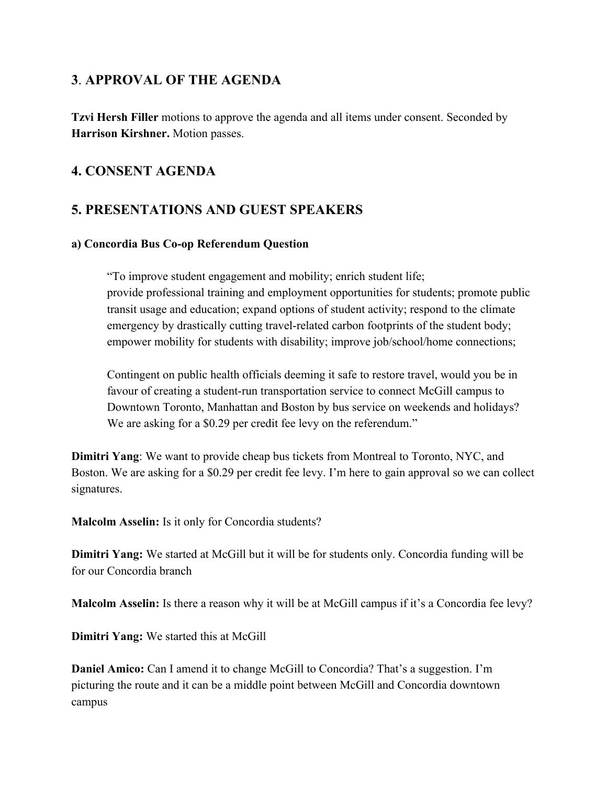# **3**. **APPROVAL OF THE AGENDA**

**Tzvi Hersh Filler** motions to approve the agenda and all items under consent. Seconded by **Harrison Kirshner.** Motion passes.

# **4. CONSENT AGENDA**

# **5. PRESENTATIONS AND GUEST SPEAKERS**

### **a) Concordia Bus Co-op Referendum Question**

"To improve student engagement and mobility; enrich student life; provide professional training and employment opportunities for students; promote public transit usage and education; expand options of student activity; respond to the climate emergency by drastically cutting travel-related carbon footprints of the student body; empower mobility for students with disability; improve job/school/home connections;

Contingent on public health officials deeming it safe to restore travel, would you be in favour of creating a student-run transportation service to connect McGill campus to Downtown Toronto, Manhattan and Boston by bus service on weekends and holidays? We are asking for a \$0.29 per credit fee levy on the referendum."

**Dimitri Yang**: We want to provide cheap bus tickets from Montreal to Toronto, NYC, and Boston. We are asking for a \$0.29 per credit fee levy. I'm here to gain approval so we can collect signatures.

**Malcolm Asselin:** Is it only for Concordia students?

**Dimitri Yang:** We started at McGill but it will be for students only. Concordia funding will be for our Concordia branch

**Malcolm Asselin:** Is there a reason why it will be at McGill campus if it's a Concordia fee levy?

**Dimitri Yang:** We started this at McGill

**Daniel Amico:** Can I amend it to change McGill to Concordia? That's a suggestion. I'm picturing the route and it can be a middle point between McGill and Concordia downtown campus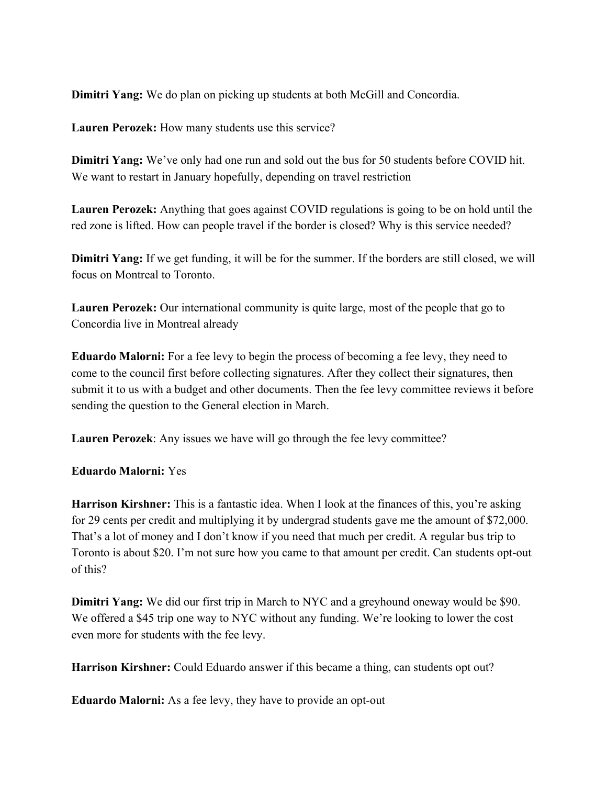**Dimitri Yang:** We do plan on picking up students at both McGill and Concordia.

**Lauren Perozek:** How many students use this service?

**Dimitri Yang:** We've only had one run and sold out the bus for 50 students before COVID hit. We want to restart in January hopefully, depending on travel restriction

**Lauren Perozek:** Anything that goes against COVID regulations is going to be on hold until the red zone is lifted. How can people travel if the border is closed? Why is this service needed?

**Dimitri Yang:** If we get funding, it will be for the summer. If the borders are still closed, we will focus on Montreal to Toronto.

**Lauren Perozek:** Our international community is quite large, most of the people that go to Concordia live in Montreal already

**Eduardo Malorni:** For a fee levy to begin the process of becoming a fee levy, they need to come to the council first before collecting signatures. After they collect their signatures, then submit it to us with a budget and other documents. Then the fee levy committee reviews it before sending the question to the General election in March.

**Lauren Perozek**: Any issues we have will go through the fee levy committee?

### **Eduardo Malorni:** Yes

**Harrison Kirshner:** This is a fantastic idea. When I look at the finances of this, you're asking for 29 cents per credit and multiplying it by undergrad students gave me the amount of \$72,000. That's a lot of money and I don't know if you need that much per credit. A regular bus trip to Toronto is about \$20. I'm not sure how you came to that amount per credit. Can students opt-out of this?

**Dimitri Yang:** We did our first trip in March to NYC and a greyhound oneway would be \$90. We offered a \$45 trip one way to NYC without any funding. We're looking to lower the cost even more for students with the fee levy.

**Harrison Kirshner:** Could Eduardo answer if this became a thing, can students opt out?

**Eduardo Malorni:** As a fee levy, they have to provide an opt-out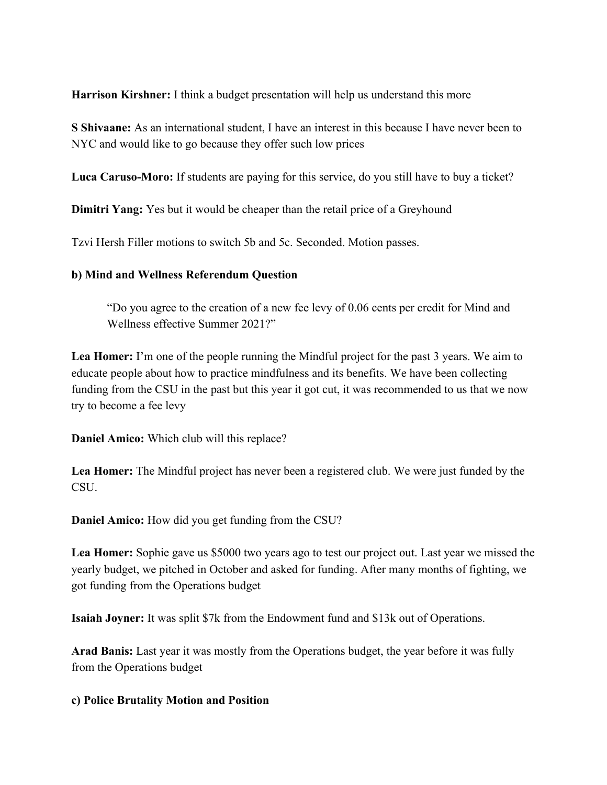**Harrison Kirshner:** I think a budget presentation will help us understand this more

**S Shivaane:** As an international student, I have an interest in this because I have never been to NYC and would like to go because they offer such low prices

**Luca Caruso-Moro:** If students are paying for this service, do you still have to buy a ticket?

**Dimitri Yang:** Yes but it would be cheaper than the retail price of a Greyhound

Tzvi Hersh Filler motions to switch 5b and 5c. Seconded. Motion passes.

## **b) Mind and Wellness Referendum Question**

"Do you agree to the creation of a new fee levy of 0.06 cents per credit for Mind and Wellness effective Summer 2021?"

Lea Homer: I'm one of the people running the Mindful project for the past 3 years. We aim to educate people about how to practice mindfulness and its benefits. We have been collecting funding from the CSU in the past but this year it got cut, it was recommended to us that we now try to become a fee levy

**Daniel Amico:** Which club will this replace?

**Lea Homer:** The Mindful project has never been a registered club. We were just funded by the **CSU** 

**Daniel Amico:** How did you get funding from the CSU?

**Lea Homer:** Sophie gave us \$5000 two years ago to test our project out. Last year we missed the yearly budget, we pitched in October and asked for funding. After many months of fighting, we got funding from the Operations budget

**Isaiah Joyner:** It was split \$7k from the Endowment fund and \$13k out of Operations.

**Arad Banis:** Last year it was mostly from the Operations budget, the year before it was fully from the Operations budget

## **c) Police Brutality Motion and Position**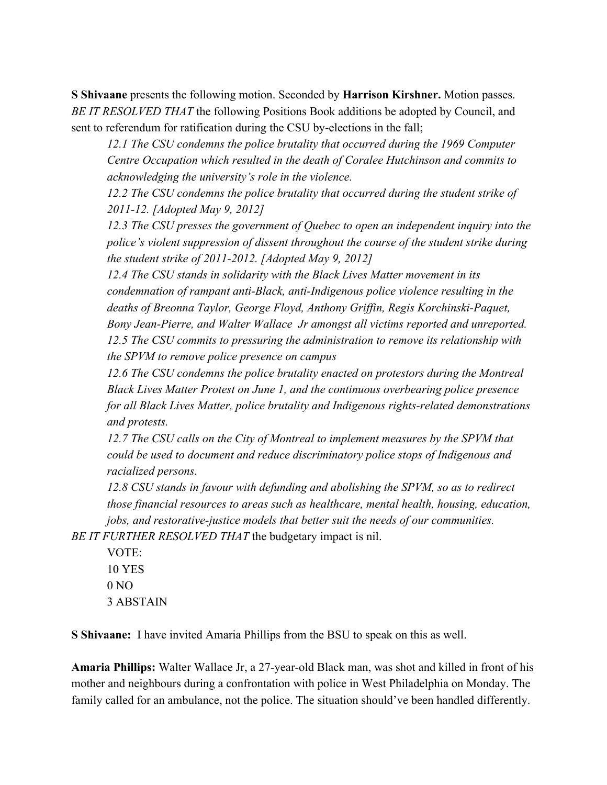**S Shivaane** presents the following motion. Seconded by **Harrison Kirshner.** Motion passes. *BE IT RESOLVED THAT* the following Positions Book additions be adopted by Council, and sent to referendum for ratification during the CSU by-elections in the fall;

*12.1 The CSU condemns the police brutality that occurred during the 1969 Computer Centre Occupation which resulted in the death of Coralee Hutchinson and commits to acknowledging the university's role in the violence.*

*12.2 The CSU condemns the police brutality that occurred during the student strike of 2011-12. [Adopted May 9, 2012]*

*12.3 The CSU presses the government of Quebec to open an independent inquiry into the police's violent suppression of dissent throughout the course of the student strike during the student strike of 2011-2012. [Adopted May 9, 2012]*

*12.4 The CSU stands in solidarity with the Black Lives Matter movement in its condemnation of rampant anti-Black, anti-Indigenous police violence resulting in the deaths of Breonna Taylor, George Floyd, Anthony Griffin, Regis Korchinski-Paquet, Bony Jean-Pierre, and Walter Wallace Jr amongst all victims reported and unreported. 12.5 The CSU commits to pressuring the administration to remove its relationship with the SPVM to remove police presence on campus*

*12.6 The CSU condemns the police brutality enacted on protestors during the Montreal Black Lives Matter Protest on June 1, and the continuous overbearing police presence for all Black Lives Matter, police brutality and Indigenous rights-related demonstrations and protests.*

*12.7 The CSU calls on the City of Montreal to implement measures by the SPVM that could be used to document and reduce discriminatory police stops of Indigenous and racialized persons.*

*12.8 CSU stands in favour with defunding and abolishing the SPVM, so as to redirect those financial resources to areas such as healthcare, mental health, housing, education, jobs, and restorative-justice models that better suit the needs of our communities.*

*BE IT FURTHER RESOLVED THAT* the budgetary impact is nil.

VOTE: 10 YES 0 NO 3 ABSTAIN

**S Shivaane:** I have invited Amaria Phillips from the BSU to speak on this as well.

**Amaria Phillips:** Walter Wallace Jr, a 27-year-old Black man, was shot and killed in front of his mother and neighbours during a confrontation with police in West Philadelphia on Monday. The family called for an ambulance, not the police. The situation should've been handled differently.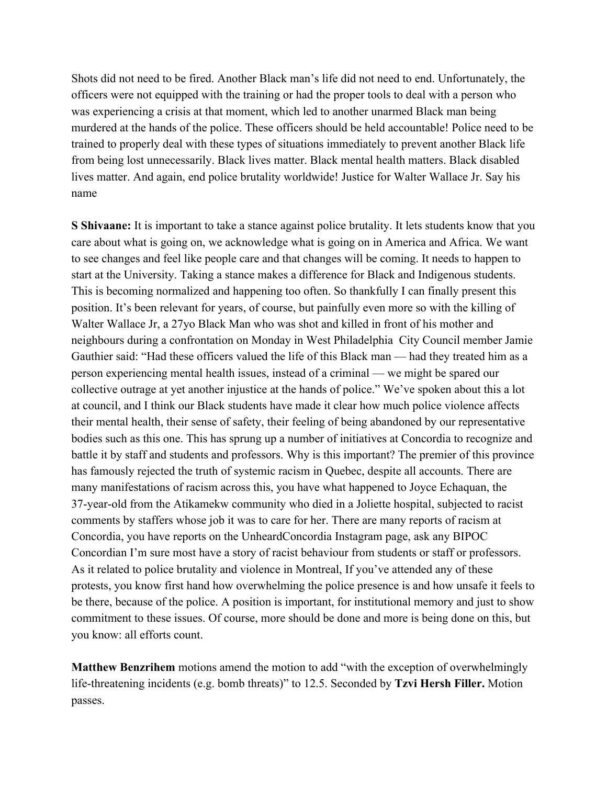Shots did not need to be fired. Another Black man's life did not need to end. Unfortunately, the officers were not equipped with the training or had the proper tools to deal with a person who was experiencing a crisis at that moment, which led to another unarmed Black man being murdered at the hands of the police. These officers should be held accountable! Police need to be trained to properly deal with these types of situations immediately to prevent another Black life from being lost unnecessarily. Black lives matter. Black mental health matters. Black disabled lives matter. And again, end police brutality worldwide! Justice for Walter Wallace Jr. Say his name

**S Shivaane:** It is important to take a stance against police brutality. It lets students know that you care about what is going on, we acknowledge what is going on in America and Africa. We want to see changes and feel like people care and that changes will be coming. It needs to happen to start at the University. Taking a stance makes a difference for Black and Indigenous students. This is becoming normalized and happening too often. So thankfully I can finally present this position. It's been relevant for years, of course, but painfully even more so with the killing of Walter Wallace Jr, a 27yo Black Man who was shot and killed in front of his mother and neighbours during a confrontation on Monday in West Philadelphia City Council member Jamie Gauthier said: "Had these officers valued the life of this Black man — had they treated him as a person experiencing mental health issues, instead of a criminal — we might be spared our collective outrage at yet another injustice at the hands of police." We've spoken about this a lot at council, and I think our Black students have made it clear how much police violence affects their mental health, their sense of safety, their feeling of being abandoned by our representative bodies such as this one. This has sprung up a number of initiatives at Concordia to recognize and battle it by staff and students and professors. Why is this important? The premier of this province has famously rejected the truth of systemic racism in Quebec, despite all accounts. There are many manifestations of racism across this, you have what happened to Joyce Echaquan, the 37-year-old from the Atikamekw community who died in a Joliette hospital, subjected to racist comments by staffers whose job it was to care for her. There are many reports of racism at Concordia, you have reports on the UnheardConcordia Instagram page, ask any BIPOC Concordian I'm sure most have a story of racist behaviour from students or staff or professors. As it related to police brutality and violence in Montreal, If you've attended any of these protests, you know first hand how overwhelming the police presence is and how unsafe it feels to be there, because of the police. A position is important, for institutional memory and just to show commitment to these issues. Of course, more should be done and more is being done on this, but you know: all efforts count.

**Matthew Benzrihem** motions amend the motion to add "with the exception of overwhelmingly life-threatening incidents (e.g. bomb threats)" to 12.5. Seconded by **Tzvi Hersh Filler.** Motion passes.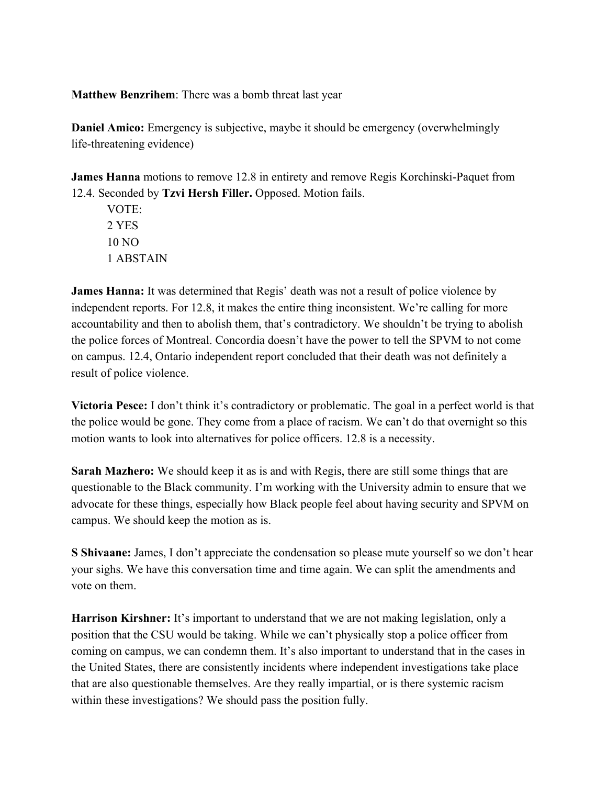**Matthew Benzrihem**: There was a bomb threat last year

**Daniel Amico:** Emergency is subjective, maybe it should be emergency (overwhelmingly life-threatening evidence)

**James Hanna** motions to remove 12.8 in entirety and remove Regis Korchinski-Paquet from 12.4. Seconded by **Tzvi Hersh Filler.** Opposed. Motion fails.

VOTE: 2 YES 10 NO 1 ABSTAIN

**James Hanna:** It was determined that Regis' death was not a result of police violence by independent reports. For 12.8, it makes the entire thing inconsistent. We're calling for more accountability and then to abolish them, that's contradictory. We shouldn't be trying to abolish the police forces of Montreal. Concordia doesn't have the power to tell the SPVM to not come on campus. 12.4, Ontario independent report concluded that their death was not definitely a result of police violence.

**Victoria Pesce:** I don't think it's contradictory or problematic. The goal in a perfect world is that the police would be gone. They come from a place of racism. We can't do that overnight so this motion wants to look into alternatives for police officers. 12.8 is a necessity.

**Sarah Mazhero:** We should keep it as is and with Regis, there are still some things that are questionable to the Black community. I'm working with the University admin to ensure that we advocate for these things, especially how Black people feel about having security and SPVM on campus. We should keep the motion as is.

**S Shivaane:** James, I don't appreciate the condensation so please mute yourself so we don't hear your sighs. We have this conversation time and time again. We can split the amendments and vote on them.

**Harrison Kirshner:** It's important to understand that we are not making legislation, only a position that the CSU would be taking. While we can't physically stop a police officer from coming on campus, we can condemn them. It's also important to understand that in the cases in the United States, there are consistently incidents where independent investigations take place that are also questionable themselves. Are they really impartial, or is there systemic racism within these investigations? We should pass the position fully.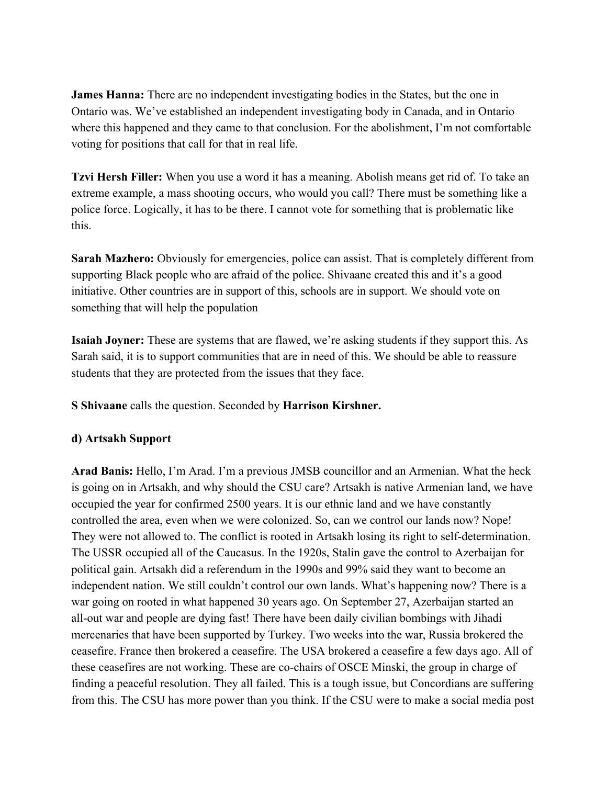**James Hanna:** There are no independent investigating bodies in the States, but the one in Ontario was. We've established an independent investigating body in Canada, and in Ontario where this happened and they came to that conclusion. For the abolishment, I'm not comfortable voting for positions that call for that in real life.

**Tzvi Hersh Filler:** When you use a word it has a meaning. Abolish means get rid of. To take an extreme example, a mass shooting occurs, who would you call? There must be something like a police force. Logically, it has to be there. I cannot vote for something that is problematic like this.

**Sarah Mazhero:** Obviously for emergencies, police can assist. That is completely different from supporting Black people who are afraid of the police. Shivaane created this and it's a good initiative. Other countries are in support of this, schools are in support. We should vote on something that will help the population

**Isaiah Joyner:** These are systems that are flawed, we're asking students if they support this. As Sarah said, it is to support communities that are in need of this. We should be able to reassure students that they are protected from the issues that they face.

**S Shivaane** calls the question. Seconded by **Harrison Kirshner.**

### **d) Artsakh Support**

**Arad Banis:** Hello, I'm Arad. I'm a previous JMSB councillor and an Armenian. What the heck is going on in Artsakh, and why should the CSU care? Artsakh is native Armenian land, we have occupied the year for confirmed 2500 years. It is our ethnic land and we have constantly controlled the area, even when we were colonized. So, can we control our lands now? Nope! They were not allowed to. The conflict is rooted in Artsakh losing its right to self-determination. The USSR occupied all of the Caucasus. In the 1920s, Stalin gave the control to Azerbaijan for political gain. Artsakh did a referendum in the 1990s and 99% said they want to become an independent nation. We still couldn't control our own lands. What's happening now? There is a war going on rooted in what happened 30 years ago. On September 27, Azerbaijan started an all-out war and people are dying fast! There have been daily civilian bombings with Jihadi mercenaries that have been supported by Turkey. Two weeks into the war, Russia brokered the ceasefire. France then brokered a ceasefire. The USA brokered a ceasefire a few days ago. All of these ceasefires are not working. These are co-chairs of OSCE Minski, the group in charge of finding a peaceful resolution. They all failed. This is a tough issue, but Concordians are suffering from this. The CSU has more power than you think. If the CSU were to make a social media post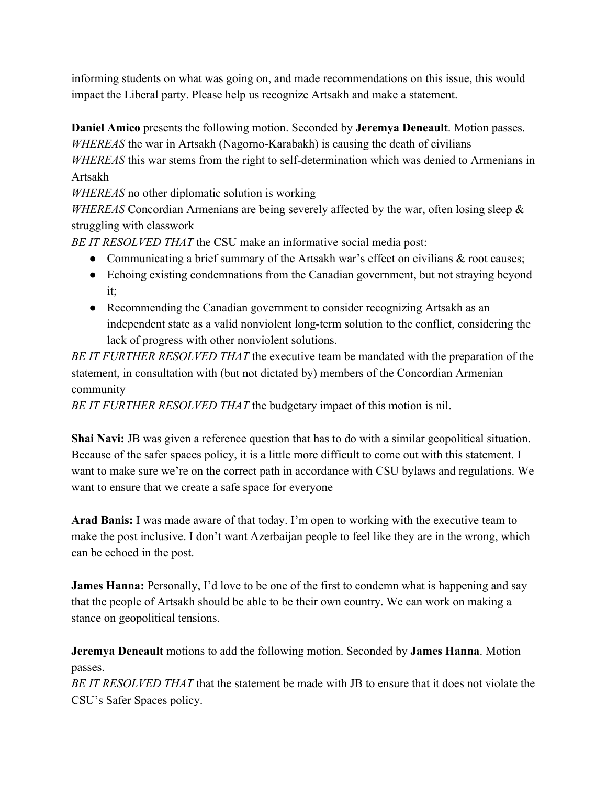informing students on what was going on, and made recommendations on this issue, this would impact the Liberal party. Please help us recognize Artsakh and make a statement.

**Daniel Amico** presents the following motion. Seconded by **Jeremya Deneault**. Motion passes. *WHEREAS* the war in Artsakh (Nagorno-Karabakh) is causing the death of civilians

*WHEREAS* this war stems from the right to self-determination which was denied to Armenians in Artsakh

*WHEREAS* no other diplomatic solution is working

*WHEREAS* Concordian Armenians are being severely affected by the war, often losing sleep & struggling with classwork

*BE IT RESOLVED THAT* the CSU make an informative social media post:

- Communicating a brief summary of the Artsakh war's effect on civilians  $\&$  root causes;
- Echoing existing condemnations from the Canadian government, but not straying beyond it;
- Recommending the Canadian government to consider recognizing Artsakh as an independent state as a valid nonviolent long-term solution to the conflict, considering the lack of progress with other nonviolent solutions.

*BE IT FURTHER RESOLVED THAT* the executive team be mandated with the preparation of the statement, in consultation with (but not dictated by) members of the Concordian Armenian community

*BE IT FURTHER RESOLVED THAT* the budgetary impact of this motion is nil.

**Shai Navi:** JB was given a reference question that has to do with a similar geopolitical situation. Because of the safer spaces policy, it is a little more difficult to come out with this statement. I want to make sure we're on the correct path in accordance with CSU bylaws and regulations. We want to ensure that we create a safe space for everyone

**Arad Banis:** I was made aware of that today. I'm open to working with the executive team to make the post inclusive. I don't want Azerbaijan people to feel like they are in the wrong, which can be echoed in the post.

**James Hanna:** Personally, I'd love to be one of the first to condemn what is happening and say that the people of Artsakh should be able to be their own country. We can work on making a stance on geopolitical tensions.

**Jeremya Deneault** motions to add the following motion. Seconded by **James Hanna**. Motion passes.

*BE IT RESOLVED THAT* that the statement be made with JB to ensure that it does not violate the CSU's Safer Spaces policy.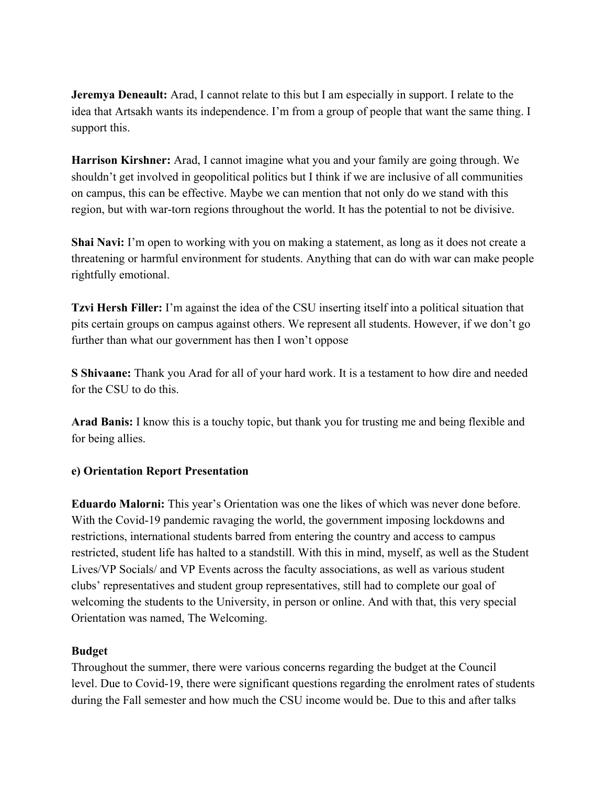**Jeremya Deneault:** Arad, I cannot relate to this but I am especially in support. I relate to the idea that Artsakh wants its independence. I'm from a group of people that want the same thing. I support this.

**Harrison Kirshner:** Arad, I cannot imagine what you and your family are going through. We shouldn't get involved in geopolitical politics but I think if we are inclusive of all communities on campus, this can be effective. Maybe we can mention that not only do we stand with this region, but with war-torn regions throughout the world. It has the potential to not be divisive.

**Shai Navi:** I'm open to working with you on making a statement, as long as it does not create a threatening or harmful environment for students. Anything that can do with war can make people rightfully emotional.

**Tzvi Hersh Filler:** I'm against the idea of the CSU inserting itself into a political situation that pits certain groups on campus against others. We represent all students. However, if we don't go further than what our government has then I won't oppose

**S Shivaane:** Thank you Arad for all of your hard work. It is a testament to how dire and needed for the CSU to do this.

**Arad Banis:** I know this is a touchy topic, but thank you for trusting me and being flexible and for being allies.

### **e) Orientation Report Presentation**

**Eduardo Malorni:** This year's Orientation was one the likes of which was never done before. With the Covid-19 pandemic ravaging the world, the government imposing lockdowns and restrictions, international students barred from entering the country and access to campus restricted, student life has halted to a standstill. With this in mind, myself, as well as the Student Lives/VP Socials/ and VP Events across the faculty associations, as well as various student clubs' representatives and student group representatives, still had to complete our goal of welcoming the students to the University, in person or online. And with that, this very special Orientation was named, The Welcoming.

### **Budget**

Throughout the summer, there were various concerns regarding the budget at the Council level. Due to Covid-19, there were significant questions regarding the enrolment rates of students during the Fall semester and how much the CSU income would be. Due to this and after talks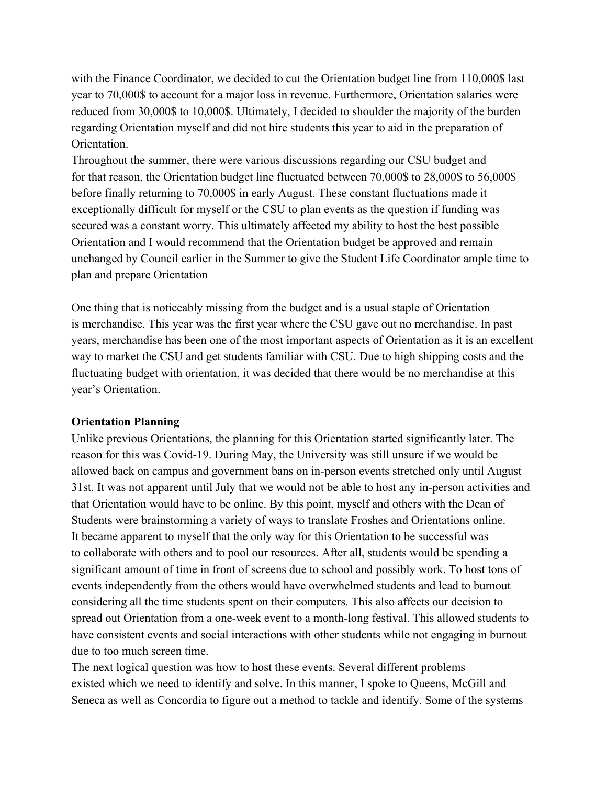with the Finance Coordinator, we decided to cut the Orientation budget line from 110,000\$ last year to 70,000\$ to account for a major loss in revenue. Furthermore, Orientation salaries were reduced from 30,000\$ to 10,000\$. Ultimately, I decided to shoulder the majority of the burden regarding Orientation myself and did not hire students this year to aid in the preparation of **Orientation** 

Throughout the summer, there were various discussions regarding our CSU budget and for that reason, the Orientation budget line fluctuated between 70,000\$ to 28,000\$ to 56,000\$ before finally returning to 70,000\$ in early August. These constant fluctuations made it exceptionally difficult for myself or the CSU to plan events as the question if funding was secured was a constant worry. This ultimately affected my ability to host the best possible Orientation and I would recommend that the Orientation budget be approved and remain unchanged by Council earlier in the Summer to give the Student Life Coordinator ample time to plan and prepare Orientation

One thing that is noticeably missing from the budget and is a usual staple of Orientation is merchandise. This year was the first year where the CSU gave out no merchandise. In past years, merchandise has been one of the most important aspects of Orientation as it is an excellent way to market the CSU and get students familiar with CSU. Due to high shipping costs and the fluctuating budget with orientation, it was decided that there would be no merchandise at this year's Orientation.

### **Orientation Planning**

Unlike previous Orientations, the planning for this Orientation started significantly later. The reason for this was Covid-19. During May, the University was still unsure if we would be allowed back on campus and government bans on in-person events stretched only until August 31st. It was not apparent until July that we would not be able to host any in-person activities and that Orientation would have to be online. By this point, myself and others with the Dean of Students were brainstorming a variety of ways to translate Froshes and Orientations online. It became apparent to myself that the only way for this Orientation to be successful was to collaborate with others and to pool our resources. After all, students would be spending a significant amount of time in front of screens due to school and possibly work. To host tons of events independently from the others would have overwhelmed students and lead to burnout considering all the time students spent on their computers. This also affects our decision to spread out Orientation from a one-week event to a month-long festival. This allowed students to have consistent events and social interactions with other students while not engaging in burnout due to too much screen time.

The next logical question was how to host these events. Several different problems existed which we need to identify and solve. In this manner, I spoke to Queens, McGill and Seneca as well as Concordia to figure out a method to tackle and identify. Some of the systems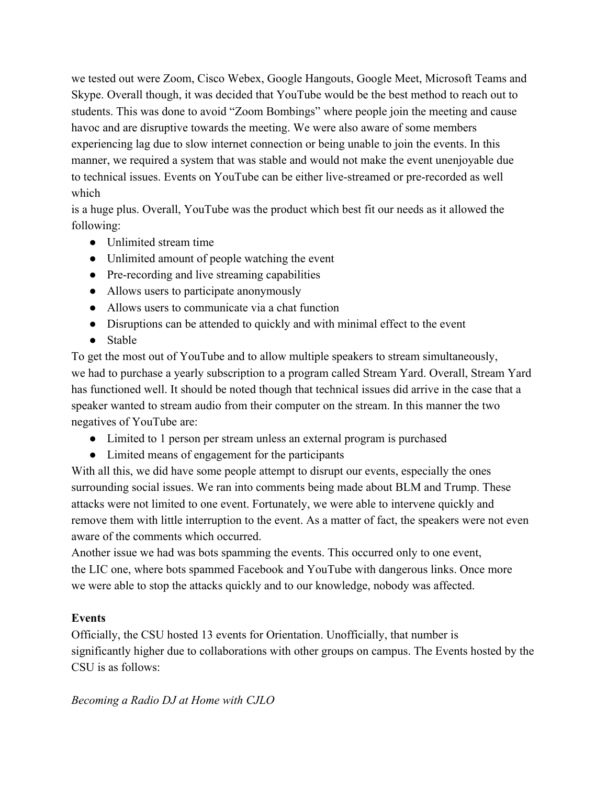we tested out were Zoom, Cisco Webex, Google Hangouts, Google Meet, Microsoft Teams and Skype. Overall though, it was decided that YouTube would be the best method to reach out to students. This was done to avoid "Zoom Bombings" where people join the meeting and cause havoc and are disruptive towards the meeting. We were also aware of some members experiencing lag due to slow internet connection or being unable to join the events. In this manner, we required a system that was stable and would not make the event unenjoyable due to technical issues. Events on YouTube can be either live-streamed or pre-recorded as well which

is a huge plus. Overall, YouTube was the product which best fit our needs as it allowed the following:

- Unlimited stream time
- Unlimited amount of people watching the event
- Pre-recording and live streaming capabilities
- Allows users to participate anonymously
- Allows users to communicate via a chat function
- Disruptions can be attended to quickly and with minimal effect to the event
- Stable

To get the most out of YouTube and to allow multiple speakers to stream simultaneously, we had to purchase a yearly subscription to a program called Stream Yard. Overall, Stream Yard has functioned well. It should be noted though that technical issues did arrive in the case that a speaker wanted to stream audio from their computer on the stream. In this manner the two negatives of YouTube are:

- Limited to 1 person per stream unless an external program is purchased
- Limited means of engagement for the participants

With all this, we did have some people attempt to disrupt our events, especially the ones surrounding social issues. We ran into comments being made about BLM and Trump. These attacks were not limited to one event. Fortunately, we were able to intervene quickly and remove them with little interruption to the event. As a matter of fact, the speakers were not even aware of the comments which occurred.

Another issue we had was bots spamming the events. This occurred only to one event, the LIC one, where bots spammed Facebook and YouTube with dangerous links. Once more we were able to stop the attacks quickly and to our knowledge, nobody was affected.

## **Events**

Officially, the CSU hosted 13 events for Orientation. Unofficially, that number is significantly higher due to collaborations with other groups on campus. The Events hosted by the CSU is as follows:

*Becoming a Radio DJ at Home with CJLO*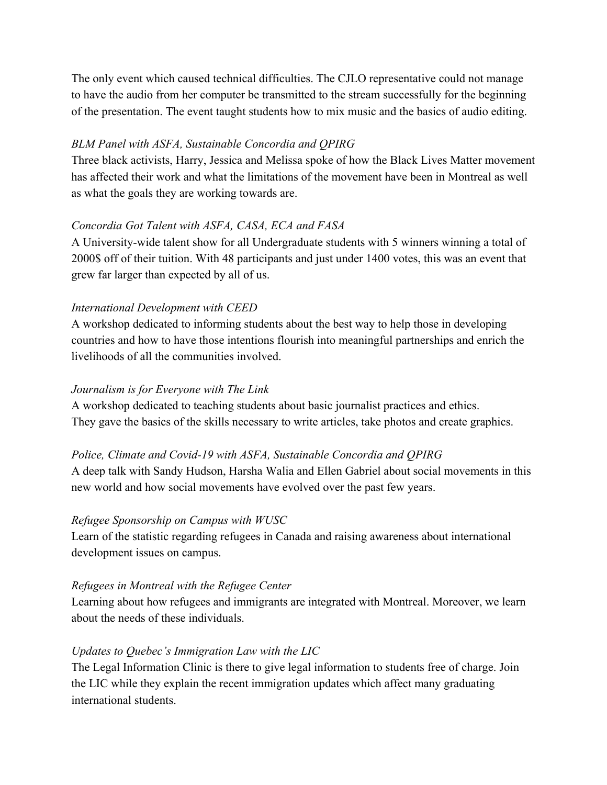The only event which caused technical difficulties. The CJLO representative could not manage to have the audio from her computer be transmitted to the stream successfully for the beginning of the presentation. The event taught students how to mix music and the basics of audio editing.

## *BLM Panel with ASFA, Sustainable Concordia and QPIRG*

Three black activists, Harry, Jessica and Melissa spoke of how the Black Lives Matter movement has affected their work and what the limitations of the movement have been in Montreal as well as what the goals they are working towards are.

## *Concordia Got Talent with ASFA, CASA, ECA and FASA*

A University-wide talent show for all Undergraduate students with 5 winners winning a total of 2000\$ off of their tuition. With 48 participants and just under 1400 votes, this was an event that grew far larger than expected by all of us.

### *International Development with CEED*

A workshop dedicated to informing students about the best way to help those in developing countries and how to have those intentions flourish into meaningful partnerships and enrich the livelihoods of all the communities involved.

## *Journalism is for Everyone with The Link*

A workshop dedicated to teaching students about basic journalist practices and ethics. They gave the basics of the skills necessary to write articles, take photos and create graphics.

## *Police, Climate and Covid-19 with ASFA, Sustainable Concordia and QPIRG*

A deep talk with Sandy Hudson, Harsha Walia and Ellen Gabriel about social movements in this new world and how social movements have evolved over the past few years.

### *Refugee Sponsorship on Campus with WUSC*

Learn of the statistic regarding refugees in Canada and raising awareness about international development issues on campus.

### *Refugees in Montreal with the Refugee Center*

Learning about how refugees and immigrants are integrated with Montreal. Moreover, we learn about the needs of these individuals.

### *Updates to Quebec's Immigration Law with the LIC*

The Legal Information Clinic is there to give legal information to students free of charge. Join the LIC while they explain the recent immigration updates which affect many graduating international students.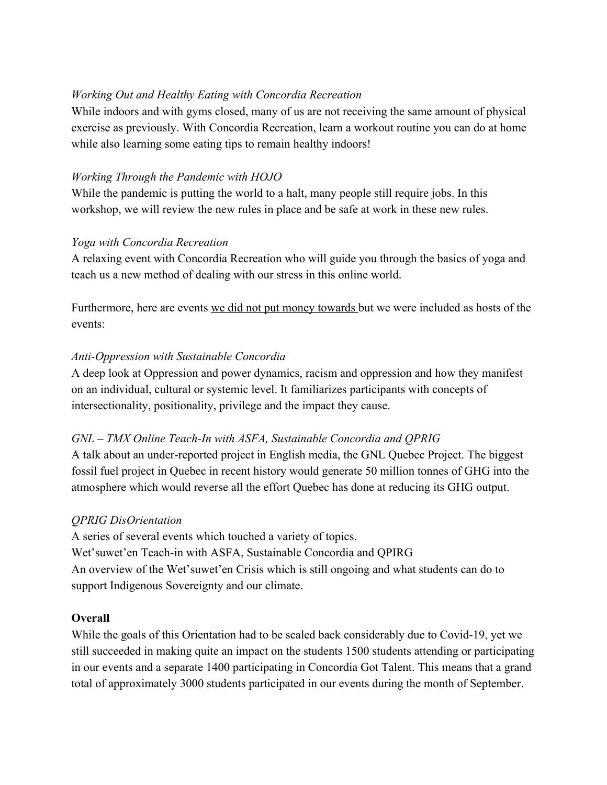## *Working Out and Healthy Eating with Concordia Recreation*

While indoors and with gyms closed, many of us are not receiving the same amount of physical exercise as previously. With Concordia Recreation, learn a workout routine you can do at home while also learning some eating tips to remain healthy indoors!

## *Working Through the Pandemic with HOJO*

While the pandemic is putting the world to a halt, many people still require jobs. In this workshop, we will review the new rules in place and be safe at work in these new rules.

## *Yoga with Concordia Recreation*

A relaxing event with Concordia Recreation who will guide you through the basics of yoga and teach us a new method of dealing with our stress in this online world.

Furthermore, here are events we did not put money towards but we were included as hosts of the events:

## *Anti-Oppression with Sustainable Concordia*

A deep look at Oppression and power dynamics, racism and oppression and how they manifest on an individual, cultural or systemic level. It familiarizes participants with concepts of intersectionality, positionality, privilege and the impact they cause.

## *GNL – TMX Online Teach-In with ASFA, Sustainable Concordia and QPRIG*

A talk about an under-reported project in English media, the GNL Quebec Project. The biggest fossil fuel project in Quebec in recent history would generate 50 million tonnes of GHG into the atmosphere which would reverse all the effort Quebec has done at reducing its GHG output.

## *QPRIG DisOrientation*

A series of several events which touched a variety of topics. Wet'suwet'en Teach-in with ASFA, Sustainable Concordia and QPIRG An overview of the Wet'suwet'en Crisis which is still ongoing and what students can do to support Indigenous Sovereignty and our climate.

## **Overall**

While the goals of this Orientation had to be scaled back considerably due to Covid-19, yet we still succeeded in making quite an impact on the students 1500 students attending or participating in our events and a separate 1400 participating in Concordia Got Talent. This means that a grand total of approximately 3000 students participated in our events during the month of September.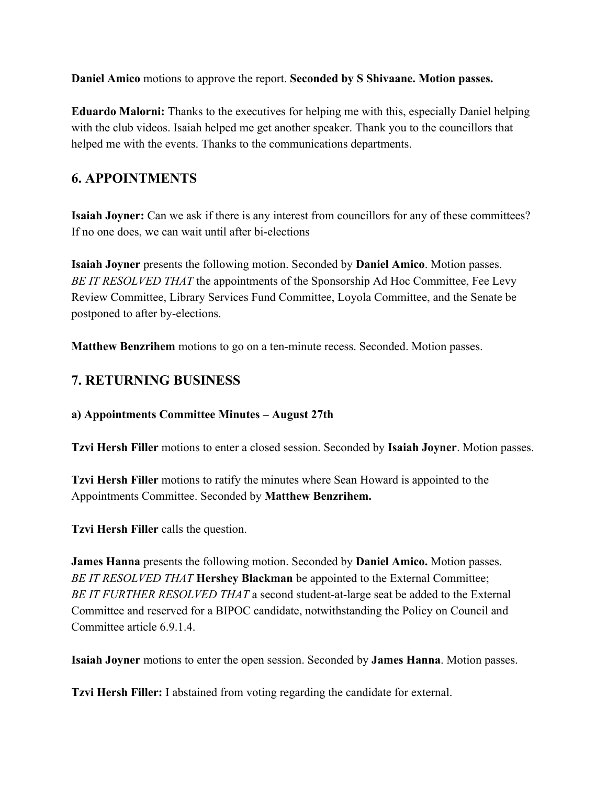**Daniel Amico** motions to approve the report. **Seconded by S Shivaane. Motion passes.**

**Eduardo Malorni:** Thanks to the executives for helping me with this, especially Daniel helping with the club videos. Isaiah helped me get another speaker. Thank you to the councillors that helped me with the events. Thanks to the communications departments.

# **6. APPOINTMENTS**

**Isaiah Joyner:** Can we ask if there is any interest from councillors for any of these committees? If no one does, we can wait until after bi-elections

**Isaiah Joyner** presents the following motion. Seconded by **Daniel Amico**. Motion passes. *BE IT RESOLVED THAT* the appointments of the Sponsorship Ad Hoc Committee, Fee Levy Review Committee, Library Services Fund Committee, Loyola Committee, and the Senate be postponed to after by-elections.

**Matthew Benzrihem** motions to go on a ten-minute recess. Seconded. Motion passes.

# **7. RETURNING BUSINESS**

**a) Appointments Committee Minutes – August 27th**

**Tzvi Hersh Filler** motions to enter a closed session. Seconded by **Isaiah Joyner**. Motion passes.

**Tzvi Hersh Filler** motions to ratify the minutes where Sean Howard is appointed to the Appointments Committee. Seconded by **Matthew Benzrihem.**

**Tzvi Hersh Filler** calls the question.

**James Hanna** presents the following motion. Seconded by **Daniel Amico.** Motion passes. *BE IT RESOLVED THAT* **Hershey Blackman** be appointed to the External Committee; *BE IT FURTHER RESOLVED THAT* a second student-at-large seat be added to the External Committee and reserved for a BIPOC candidate, notwithstanding the Policy on Council and Committee article 6.9.1.4.

**Isaiah Joyner** motions to enter the open session. Seconded by **James Hanna**. Motion passes.

**Tzvi Hersh Filler:** I abstained from voting regarding the candidate for external.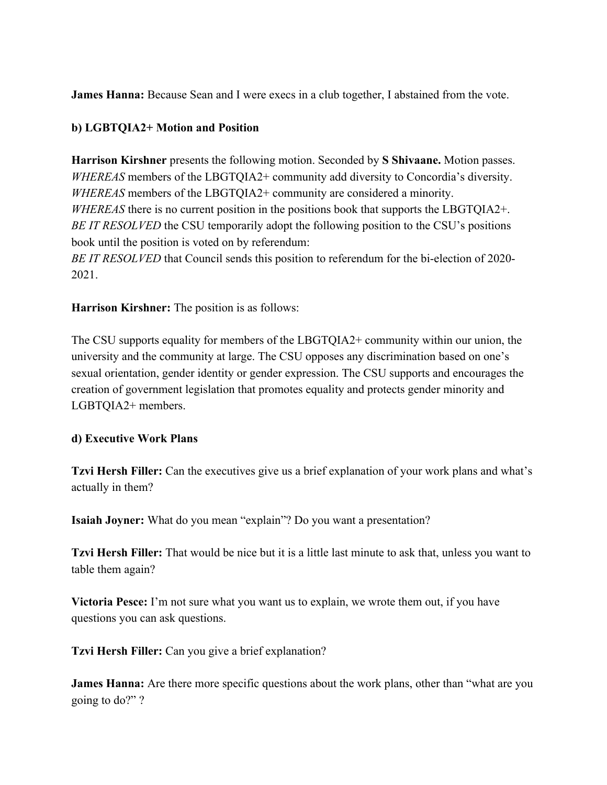**James Hanna:** Because Sean and I were execs in a club together, I abstained from the vote.

## **b) LGBTQIA2+ Motion and Position**

**Harrison Kirshner** presents the following motion. Seconded by **S Shivaane.** Motion passes. *WHEREAS* members of the LBGTQIA2+ community add diversity to Concordia's diversity. *WHEREAS* members of the LBGTQIA2+ community are considered a minority. *WHEREAS* there is no current position in the positions book that supports the LBGTQIA2+. *BE IT RESOLVED* the CSU temporarily adopt the following position to the CSU's positions book until the position is voted on by referendum: *BE IT RESOLVED* that Council sends this position to referendum for the bi-election of 2020- 2021.

**Harrison Kirshner:** The position is as follows:

The CSU supports equality for members of the LBGTQIA2+ community within our union, the university and the community at large. The CSU opposes any discrimination based on one's sexual orientation, gender identity or gender expression. The CSU supports and encourages the creation of government legislation that promotes equality and protects gender minority and LGBTQIA2+ members.

### **d) Executive Work Plans**

**Tzvi Hersh Filler:** Can the executives give us a brief explanation of your work plans and what's actually in them?

**Isaiah Joyner:** What do you mean "explain"? Do you want a presentation?

**Tzvi Hersh Filler:** That would be nice but it is a little last minute to ask that, unless you want to table them again?

**Victoria Pesce:** I'm not sure what you want us to explain, we wrote them out, if you have questions you can ask questions.

**Tzvi Hersh Filler:** Can you give a brief explanation?

**James Hanna:** Are there more specific questions about the work plans, other than "what are you going to do?" ?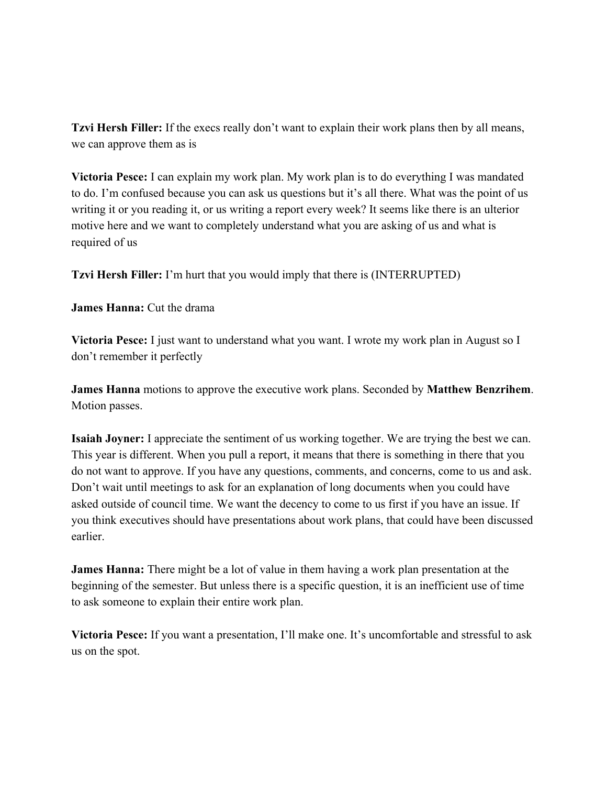**Tzvi Hersh Filler:** If the execs really don't want to explain their work plans then by all means, we can approve them as is

**Victoria Pesce:** I can explain my work plan. My work plan is to do everything I was mandated to do. I'm confused because you can ask us questions but it's all there. What was the point of us writing it or you reading it, or us writing a report every week? It seems like there is an ulterior motive here and we want to completely understand what you are asking of us and what is required of us

**Tzvi Hersh Filler:** I'm hurt that you would imply that there is (INTERRUPTED)

**James Hanna:** Cut the drama

**Victoria Pesce:** I just want to understand what you want. I wrote my work plan in August so I don't remember it perfectly

**James Hanna** motions to approve the executive work plans. Seconded by **Matthew Benzrihem**. Motion passes.

**Isaiah Joyner:** I appreciate the sentiment of us working together. We are trying the best we can. This year is different. When you pull a report, it means that there is something in there that you do not want to approve. If you have any questions, comments, and concerns, come to us and ask. Don't wait until meetings to ask for an explanation of long documents when you could have asked outside of council time. We want the decency to come to us first if you have an issue. If you think executives should have presentations about work plans, that could have been discussed earlier.

**James Hanna:** There might be a lot of value in them having a work plan presentation at the beginning of the semester. But unless there is a specific question, it is an inefficient use of time to ask someone to explain their entire work plan.

**Victoria Pesce:** If you want a presentation, I'll make one. It's uncomfortable and stressful to ask us on the spot.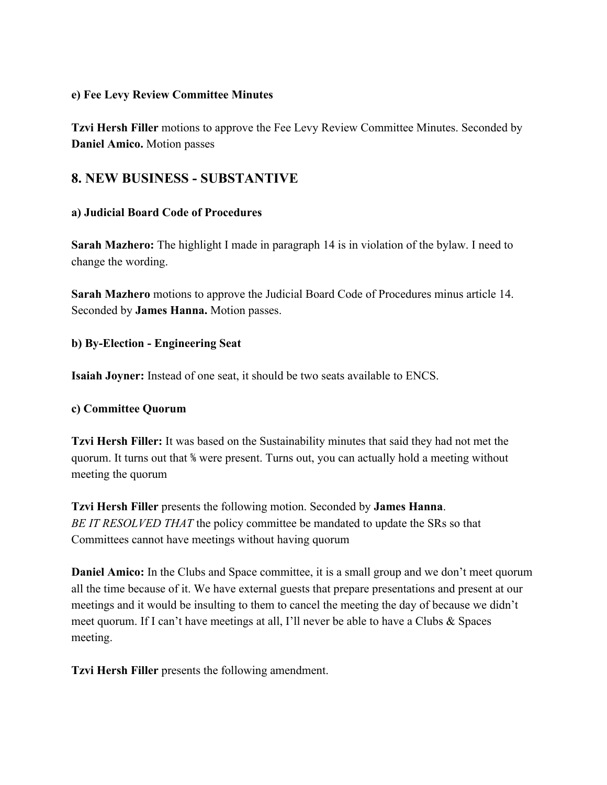#### **e) Fee Levy Review Committee Minutes**

**Tzvi Hersh Filler** motions to approve the Fee Levy Review Committee Minutes. Seconded by **Daniel Amico.** Motion passes

# **8. NEW BUSINESS - SUBSTANTIVE**

### **a) Judicial Board Code of Procedures**

**Sarah Mazhero:** The highlight I made in paragraph 14 is in violation of the bylaw. I need to change the wording.

**Sarah Mazhero** motions to approve the Judicial Board Code of Procedures minus article 14. Seconded by **James Hanna.** Motion passes.

### **b) By-Election - Engineering Seat**

**Isaiah Joyner:** Instead of one seat, it should be two seats available to ENCS.

### **c) Committee Quorum**

**Tzvi Hersh Filler:** It was based on the Sustainability minutes that said they had not met the quorum. It turns out that ⅚ were present. Turns out, you can actually hold a meeting without meeting the quorum

**Tzvi Hersh Filler** presents the following motion. Seconded by **James Hanna**. *BE IT RESOLVED THAT* the policy committee be mandated to update the SRs so that Committees cannot have meetings without having quorum

**Daniel Amico:** In the Clubs and Space committee, it is a small group and we don't meet quorum all the time because of it. We have external guests that prepare presentations and present at our meetings and it would be insulting to them to cancel the meeting the day of because we didn't meet quorum. If I can't have meetings at all, I'll never be able to have a Clubs & Spaces meeting.

**Tzvi Hersh Filler** presents the following amendment.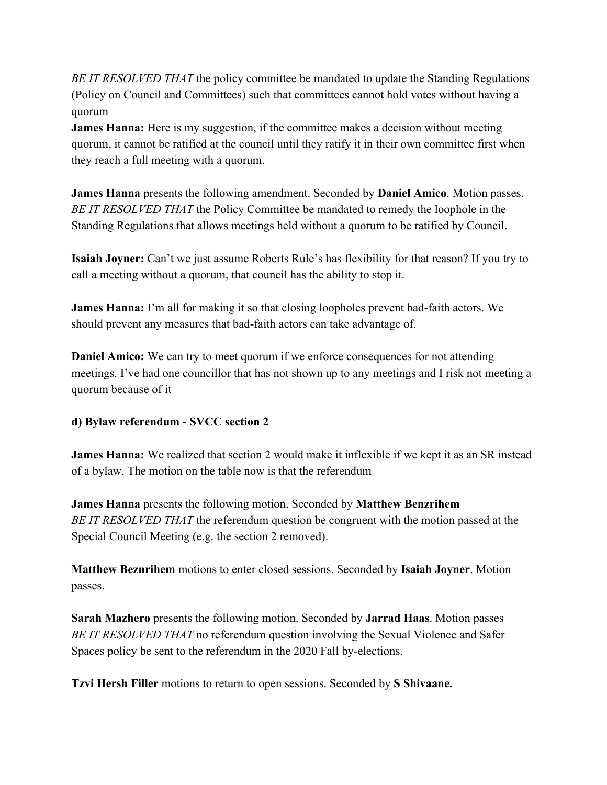*BE IT RESOLVED THAT* the policy committee be mandated to update the Standing Regulations (Policy on Council and Committees) such that committees cannot hold votes without having a quorum

**James Hanna:** Here is my suggestion, if the committee makes a decision without meeting quorum, it cannot be ratified at the council until they ratify it in their own committee first when they reach a full meeting with a quorum.

**James Hanna** presents the following amendment. Seconded by **Daniel Amico**. Motion passes. *BE IT RESOLVED THAT* the Policy Committee be mandated to remedy the loophole in the Standing Regulations that allows meetings held without a quorum to be ratified by Council.

**Isaiah Joyner:** Can't we just assume Roberts Rule's has flexibility for that reason? If you try to call a meeting without a quorum, that council has the ability to stop it.

**James Hanna:** I'm all for making it so that closing loopholes prevent bad-faith actors. We should prevent any measures that bad-faith actors can take advantage of.

**Daniel Amico:** We can try to meet quorum if we enforce consequences for not attending meetings. I've had one councillor that has not shown up to any meetings and I risk not meeting a quorum because of it

## **d) Bylaw referendum - SVCC section 2**

**James Hanna:** We realized that section 2 would make it inflexible if we kept it as an SR instead of a bylaw. The motion on the table now is that the referendum

**James Hanna** presents the following motion. Seconded by **Matthew Benzrihem** *BE IT RESOLVED THAT* the referendum question be congruent with the motion passed at the Special Council Meeting (e.g. the section 2 removed).

**Matthew Beznrihem** motions to enter closed sessions. Seconded by **Isaiah Joyner**. Motion passes.

**Sarah Mazhero** presents the following motion. Seconded by **Jarrad Haas**. Motion passes *BE IT RESOLVED THAT* no referendum question involving the Sexual Violence and Safer Spaces policy be sent to the referendum in the 2020 Fall by-elections.

**Tzvi Hersh Filler** motions to return to open sessions. Seconded by **S Shivaane.**